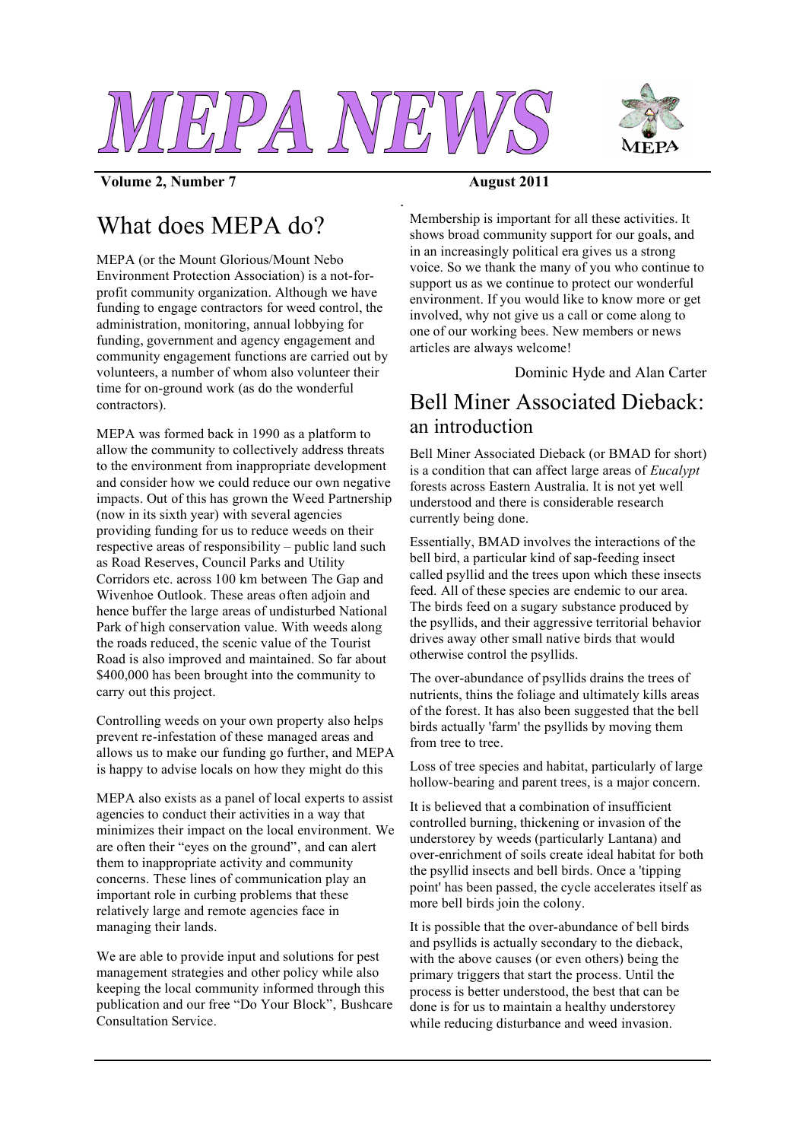

*.*



**Volume 2, Number 7 August 2011**

# What does MEPA do?

MEPA (or the Mount Glorious/Mount Nebo Environment Protection Association) is a not-forprofit community organization. Although we have funding to engage contractors for weed control, the administration, monitoring, annual lobbying for funding, government and agency engagement and community engagement functions are carried out by volunteers, a number of whom also volunteer their time for on-ground work (as do the wonderful contractors).

MEPA was formed back in 1990 as a platform to allow the community to collectively address threats to the environment from inappropriate development and consider how we could reduce our own negative impacts. Out of this has grown the Weed Partnership (now in its sixth year) with several agencies providing funding for us to reduce weeds on their respective areas of responsibility – public land such as Road Reserves, Council Parks and Utility Corridors etc. across 100 km between The Gap and Wivenhoe Outlook. These areas often adjoin and hence buffer the large areas of undisturbed National Park of high conservation value. With weeds along the roads reduced, the scenic value of the Tourist Road is also improved and maintained. So far about \$400,000 has been brought into the community to carry out this project.

Controlling weeds on your own property also helps prevent re-infestation of these managed areas and allows us to make our funding go further, and MEPA is happy to advise locals on how they might do this

MEPA also exists as a panel of local experts to assist agencies to conduct their activities in a way that minimizes their impact on the local environment. We are often their "eyes on the ground", and can alert them to inappropriate activity and community concerns. These lines of communication play an important role in curbing problems that these relatively large and remote agencies face in managing their lands.

We are able to provide input and solutions for pest management strategies and other policy while also keeping the local community informed through this publication and our free "Do Your Block", Bushcare Consultation Service.

Membership is important for all these activities. It shows broad community support for our goals, and in an increasingly political era gives us a strong voice. So we thank the many of you who continue to support us as we continue to protect our wonderful environment. If you would like to know more or get involved, why not give us a call or come along to one of our working bees. New members or news articles are always welcome!

Dominic Hyde and Alan Carter

## Bell Miner Associated Dieback: an introduction

Bell Miner Associated Dieback (or BMAD for short) is a condition that can affect large areas of *Eucalypt* forests across Eastern Australia. It is not yet well understood and there is considerable research currently being done.

Essentially, BMAD involves the interactions of the bell bird, a particular kind of sap-feeding insect called psyllid and the trees upon which these insects feed. All of these species are endemic to our area. The birds feed on a sugary substance produced by the psyllids, and their aggressive territorial behavior drives away other small native birds that would otherwise control the psyllids.

The over-abundance of psyllids drains the trees of nutrients, thins the foliage and ultimately kills areas of the forest. It has also been suggested that the bell birds actually 'farm' the psyllids by moving them from tree to tree.

Loss of tree species and habitat, particularly of large hollow-bearing and parent trees, is a major concern.

It is believed that a combination of insufficient controlled burning, thickening or invasion of the understorey by weeds (particularly Lantana) and over-enrichment of soils create ideal habitat for both the psyllid insects and bell birds. Once a 'tipping point' has been passed, the cycle accelerates itself as more bell birds join the colony.

It is possible that the over-abundance of bell birds and psyllids is actually secondary to the dieback, with the above causes (or even others) being the primary triggers that start the process. Until the process is better understood, the best that can be done is for us to maintain a healthy understorey while reducing disturbance and weed invasion.